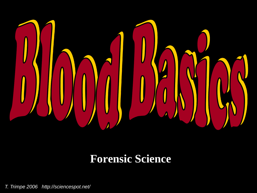

#### **Forensic Science**

*T. Trimpe 2006 http://sciencespot.net/*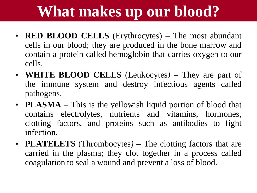# **What makes up our blood?**

- **RED BLOOD CELLS** (Erythrocytes) The most abundant cells in our blood; they are produced in the bone marrow and contain a protein called hemoglobin that carries oxygen to our cells.
- **WHITE BLOOD CELLS** (Leukocytes*)* They are part of the immune system and destroy infectious agents called pathogens.
- **PLASMA** This is the yellowish liquid portion of blood that contains electrolytes, nutrients and vitamins, hormones, clotting factors, and proteins such as antibodies to fight infection.
- **PLATELETS** (Thrombocytes*)* The clotting factors that are carried in the plasma; they clot together in a process called coagulation to seal a wound and prevent a loss of blood.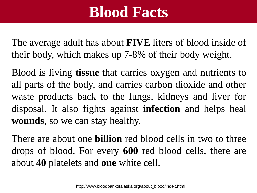#### **Blood Facts**

The average adult has about **FIVE** liters of blood inside of their body, which makes up 7-8% of their body weight.

Blood is living **tissue** that carries oxygen and nutrients to all parts of the body, and carries carbon dioxide and other waste products back to the lungs, kidneys and liver for disposal. It also fights against **infection** and helps heal **wounds**, so we can stay healthy.

There are about one **billion** red blood cells in two to three drops of blood. For every **600** red blood cells, there are about **40** platelets and **one** white cell.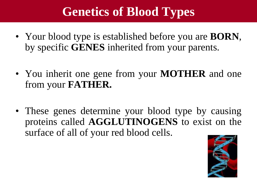#### **Genetics of Blood Types**

- Your blood type is established before you are **BORN**, by specific **GENES** inherited from your parents.
- You inherit one gene from your **MOTHER** and one from your **FATHER.**
- These genes determine your blood type by causing proteins called **AGGLUTINOGENS** to exist on the surface of all of your red blood cells.

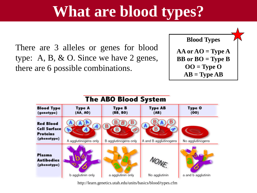### **What are blood types?**

There are 3 alleles or genes for blood type: A, B, & O. Since we have 2 genes, there are 6 possible combinations.





http://learn.genetics.utah.edu/units/basics/blood/types.cfm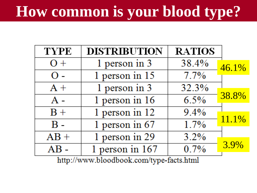# **How common is your blood type?**

| TYPE                                     | <b>DISTRIBUTION</b> | <b>RATIOS</b> |       |
|------------------------------------------|---------------------|---------------|-------|
| $O +$                                    | 1 person in 3       | 38.4%         | 46.1% |
| $\Omega$ -                               | 1 person in 15      | 7.7%          |       |
| $A +$                                    | 1 person in 3       | 32.3%         |       |
| $A -$                                    | $1$ person in 16    | 6.5%          | 38.8% |
| $B +$                                    | 1 person in 12      | 9.4%          |       |
| $\bf{B}$ -                               | 1 person in $67$    | $1.7\%$       | 11.1% |
| $AB +$                                   | 1 person in 29      | 3.2%          |       |
| $AB -$                                   | 1 person in $167$   | 0.7%          | 3.9%  |
| http://www.bloodbook.com/type_feeta.html |                     |               |       |

http://www.bloodbook.com/type-facts.html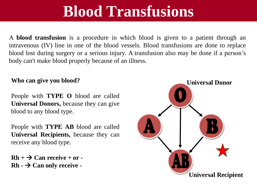#### **Blood Transfusions**

A **blood transfusion** is a procedure in which blood is given to a patient through an intravenous (IV) line in one of the blood vessels. Blood transfusions are done to replace blood lost during surgery or a serious injury. A transfusion also may be done if a person's body can't make blood properly because of an illness.

#### **Who can give you blood?**

People with **TYPE O** blood are called **Universal Donors,** because they can give blood to any blood type.

People with **TYPE AB** blood are called **Universal Recipients,** because they can receive any blood type.

 $Rh + \rightarrow Can receive + or Rh - \rightarrow Can$  only receive -

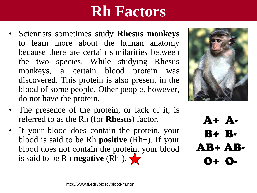## **Rh Factors**

- Scientists sometimes study **Rhesus monkeys** to learn more about the human anatomy because there are certain similarities between the two species. While studying Rhesus monkeys, a certain blood protein was discovered. This protein is also present in the blood of some people. Other people, however, do not have the protein.
- The presence of the protein, or lack of it, is referred to as the Rh (for **Rhesus**) factor.
- If your blood does contain the protein, your blood is said to be Rh **positive** (Rh+). If your blood does not contain the protein, your blood is said to be Rh **negative** (Rh-).



A+ A-B+ B-AB+ AB-O+ O-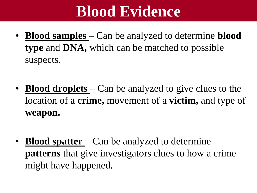### **Blood Evidence**

- **Blood samples**  Can be analyzed to determine **blood type** and **DNA,** which can be matched to possible suspects.
- **Blood droplets** Can be analyzed to give clues to the location of a **crime,** movement of a **victim,** and type of **weapon.**
- **Blood spatter**  Can be analyzed to determine **patterns** that give investigators clues to how a crime might have happened.